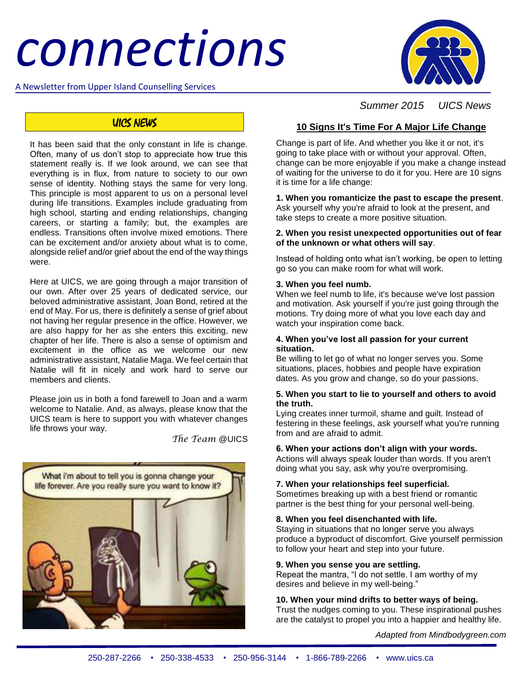# *connections*

A Newsletter from Upper Island Counselling Services



# UICS NEWS

It has been said that the only constant in life is change. Often, many of us don't stop to appreciate how true this statement really is. If we look around, we can see that everything is in flux, from nature to society to our own sense of identity. Nothing stays the same for very long. This principle is most apparent to us on a personal level during life transitions. Examples include graduating from high school, starting and ending relationships, changing careers, or starting a family; but, the examples are endless. Transitions often involve mixed emotions. There can be excitement and/or anxiety about what is to come, alongside relief and/or grief about the end of the way things were.

Here at UICS, we are going through a major transition of our own. After over 25 years of dedicated service, our beloved administrative assistant, Joan Bond, retired at the end of May. For us, there is definitely a sense of grief about not having her regular presence in the office. However, we are also happy for her as she enters this exciting, new chapter of her life. There is also a sense of optimism and excitement in the office as we welcome our new administrative assistant, Natalie Maga. We feel certain that Natalie will fit in nicely and work hard to serve our members and clients.

Please join us in both a fond farewell to Joan and a warm welcome to Natalie. And, as always, please know that the UICS team is here to support you with whatever changes life throws your way.

*The Team* @UICS



 *Summer 2015 UICS News*

# **10 Signs It's Time For A Major Life Change**

Change is part of life. And whether you like it or not, it's going to take place with or without your approval. Often, change can be more enjoyable if you make a change instead of waiting for the universe to do it for you. Here are 10 signs it is time for a life change:

**1. When you romanticize the past to escape the present**. Ask yourself why you're afraid to look at the present, and take steps to create a more positive situation.

### **2. When you resist unexpected opportunities out of fear of the unknown or what others will say**.

Instead of holding onto what isn't working, be open to letting go so you can make room for what will work.

### **3. When you feel numb.**

When we feel numb to life, it's because we've lost passion and motivation. Ask yourself if you're just going through the motions. Try doing more of what you love each day and watch your inspiration come back.

### **4. When you've lost all passion for your current situation.**

Be willing to let go of what no longer serves you. Some situations, places, hobbies and people have expiration dates. As you grow and change, so do your passions.

### **5. When you start to lie to yourself and others to avoid the truth.**

Lying creates inner turmoil, shame and guilt. Instead of festering in these feelings, ask yourself what you're running from and are afraid to admit.

### **6. When your actions don't align with your words.**

Actions will always speak louder than words. If you aren't doing what you say, ask why you're overpromising.

### **7. When your relationships feel superficial.**

Sometimes breaking up with a best friend or romantic partner is the best thing for your personal well-being.

### **8. When you feel disenchanted with life.**

Staying in situations that no longer serve you always produce a byproduct of discomfort. Give yourself permission to follow your heart and step into your future.

### **9. When you sense you are settling.**

Repeat the mantra, "I do not settle. I am worthy of my desires and believe in my well-being."

### **10. When your mind drifts to better ways of being.**

Trust the nudges coming to you. These inspirational pushes are the catalyst to propel you into a happier and healthy life.

*Adapted from Mindbodygreen.com*